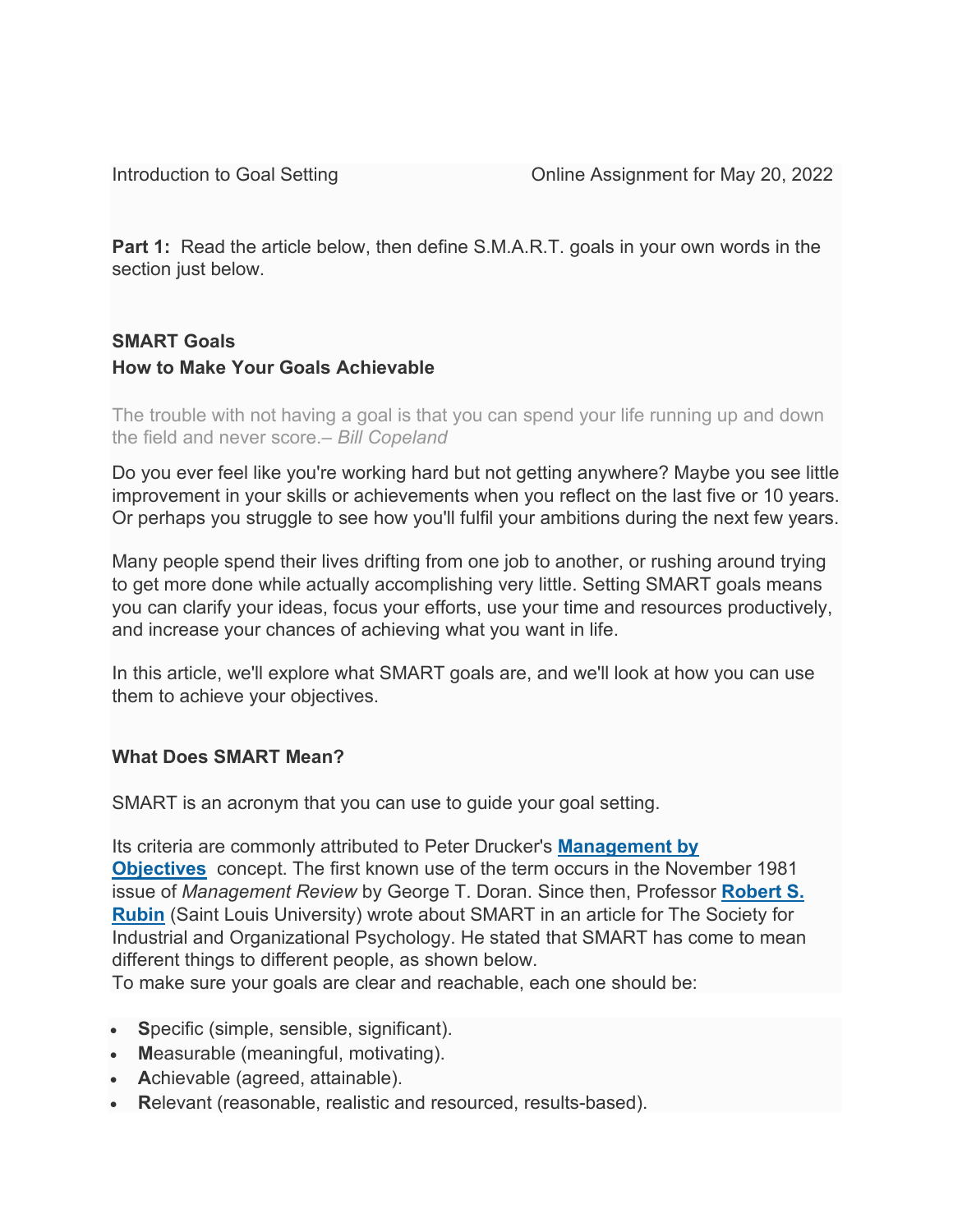**Part 1:** Read the article below, then define S.M.A.R.T. goals in your own words in the section just below.

# **SMART Goals How to Make Your Goals Achievable**

The trouble with not having a goal is that you can spend your life running up and down the field and never score.*– Bill Copeland*

Do you ever feel like you're working hard but not getting anywhere? Maybe you see little improvement in your skills or achievements when you reflect on the last five or 10 years. Or perhaps you struggle to see how you'll fulfil your ambitions during the next few years.

Many people spend their lives drifting from one job to another, or rushing around trying to get more done while actually accomplishing very little. Setting SMART goals means you can clarify your ideas, focus your efforts, use your time and resources productively, and increase your chances of achieving what you want in life.

In this article, we'll explore what SMART goals are, and we'll look at how you can use them to achieve your objectives.

# **What Does SMART Mean?**

SMART is an acronym that you can use to guide your goal setting.

Its criteria are commonly attributed to Peter Drucker's **[Management](https://www.mindtools.com/pages/article/newTMM_94.htm) by [Objectives](https://www.mindtools.com/pages/article/newTMM_94.htm)** concept. The first known use of the term occurs in the November 1981 issue of *Management Review* by George T. Doran. Since then, Professor **[Robert](http://www.siop.org/tip/backissues/tipapr02/03rubin.aspx) S. [Rubin](http://www.siop.org/tip/backissues/tipapr02/03rubin.aspx)** (Saint Louis University) wrote about SMART in an article for The Society for Industrial and Organizational Psychology. He stated that SMART has come to mean different things to different people, as shown below.

To make sure your goals are clear and reachable, each one should be:

- **S**pecific (simple, sensible, significant).
- **M**easurable (meaningful, motivating).
- **A**chievable (agreed, attainable).
- **R**elevant (reasonable, realistic and resourced, results-based).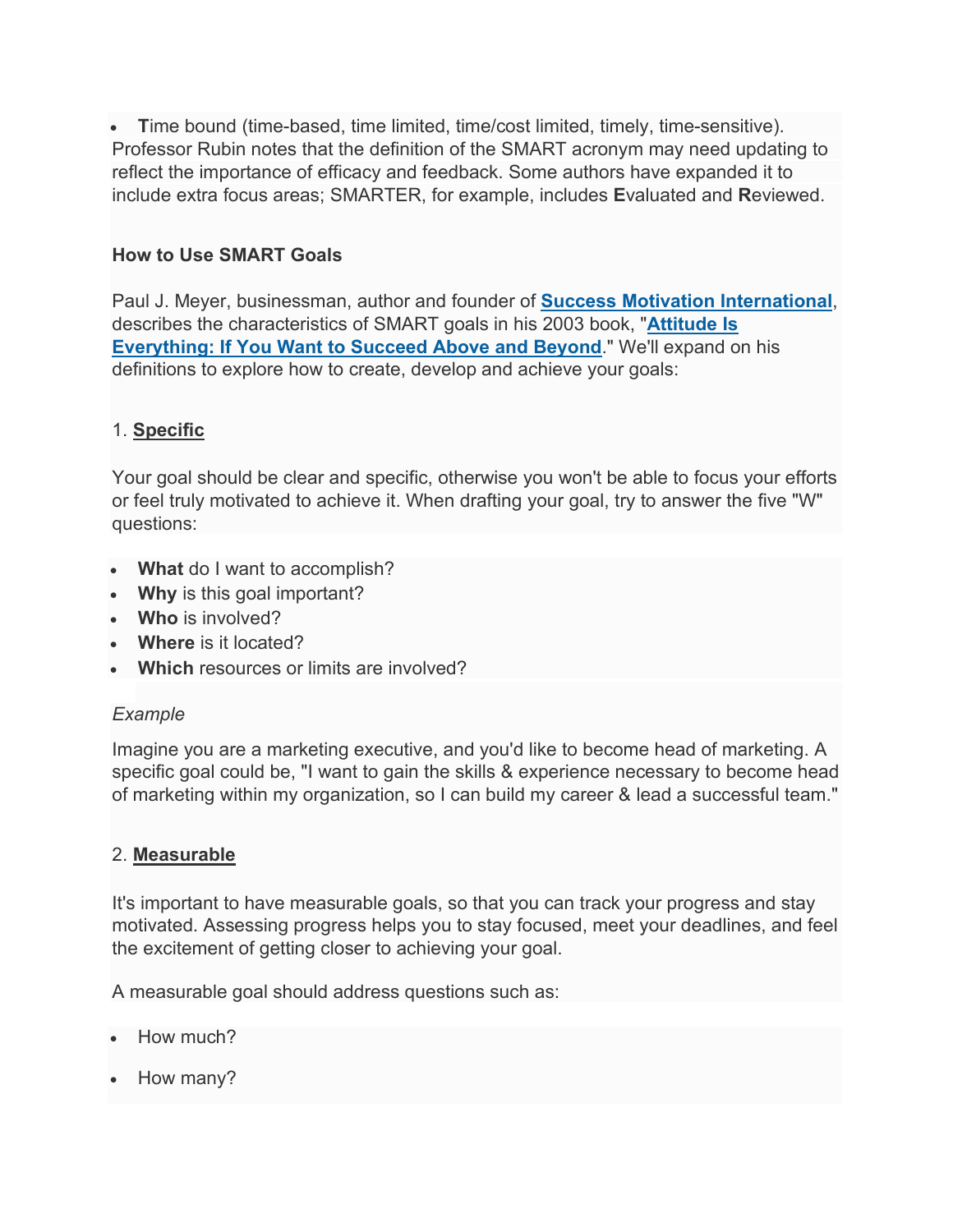• **T**ime bound (time-based, time limited, time/cost limited, timely, time-sensitive). Professor Rubin notes that the definition of the SMART acronym may need updating to reflect the importance of efficacy and feedback. Some authors have expanded it to include extra focus areas; SMARTER, for example, includes **E**valuated and **R**eviewed.

# **How to Use SMART Goals**

Paul J. Meyer, businessman, author and founder of **Success Motivation [International](http://www.success-motivation.com/)**, describes the characteristics of SMART goals in his 2003 book, "**[Attitude](https://www.amazon.com/Attitude-Is-Everything-Paul-Meyer/dp/0898113040) Is [Everything:](https://www.amazon.com/Attitude-Is-Everything-Paul-Meyer/dp/0898113040) If You Want to Succeed Above and Beyond**." We'll expand on his definitions to explore how to create, develop and achieve your goals:

## 1. **Specific**

Your goal should be clear and specific, otherwise you won't be able to focus your efforts or feel truly motivated to achieve it. When drafting your goal, try to answer the five "W" questions:

- **What** do I want to accomplish?
- **Why** is this goal important?
- **Who** is involved?
- **Where** is it located?
- **Which** resources or limits are involved?

### *Example*

Imagine you are a marketing executive, and you'd like to become head of marketing. A specific goal could be, "I want to gain the skills & experience necessary to become head of marketing within my organization, so I can build my career & lead a successful team."

### 2. **Measurable**

It's important to have measurable goals, so that you can track your progress and stay motivated. Assessing progress helps you to stay focused, meet your deadlines, and feel the excitement of getting closer to achieving your goal.

A measurable goal should address questions such as:

- How much?
- How many?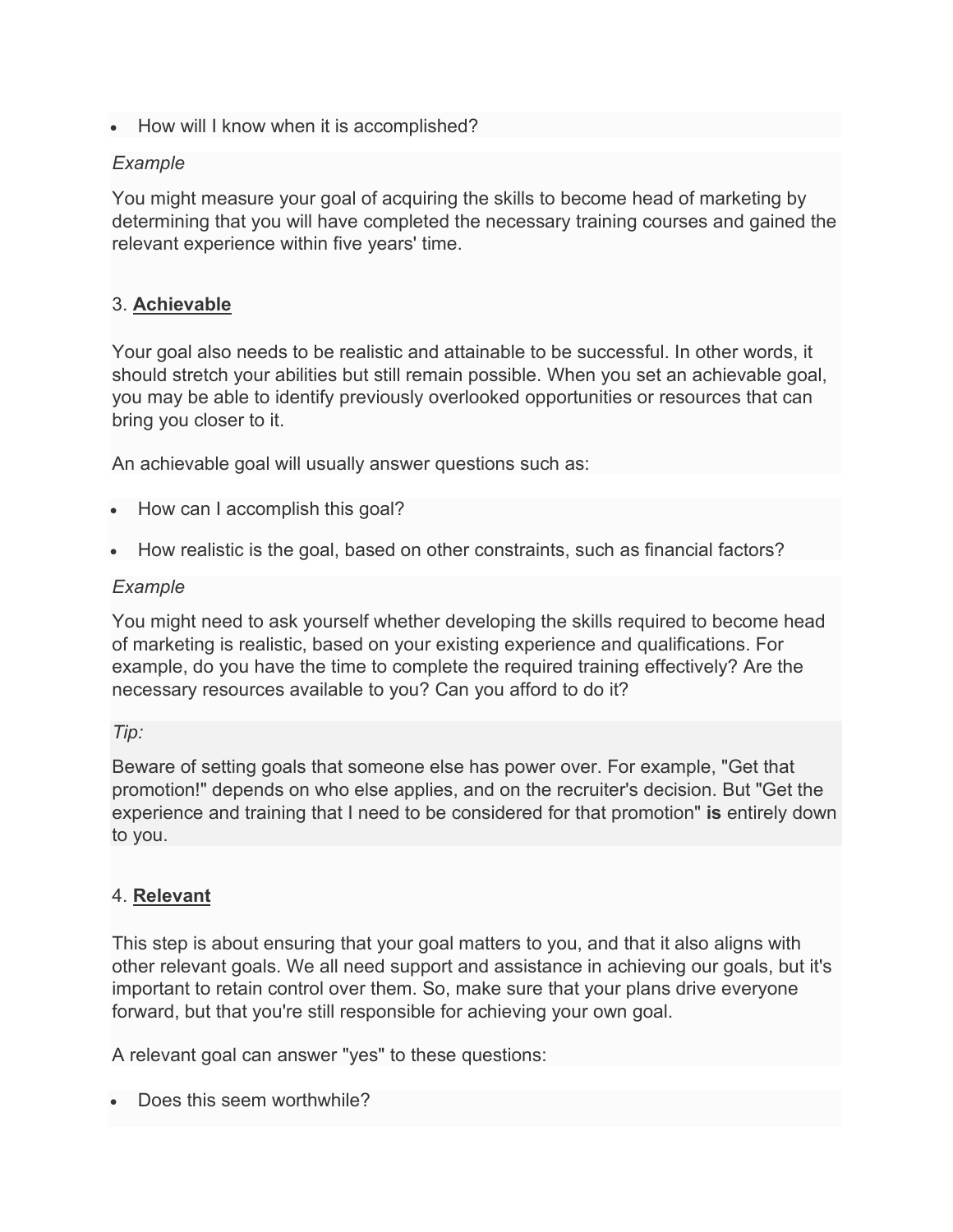• How will I know when it is accomplished?

# *Example*

You might measure your goal of acquiring the skills to become head of marketing by determining that you will have completed the necessary training courses and gained the relevant experience within five years' time.

# 3. **Achievable**

Your goal also needs to be realistic and attainable to be successful. In other words, it should stretch your abilities but still remain possible. When you set an achievable goal, you may be able to identify previously overlooked opportunities or resources that can bring you closer to it.

An achievable goal will usually answer questions such as:

- How can I accomplish this goal?
- How realistic is the goal, based on other constraints, such as financial factors?

## *Example*

You might need to ask yourself whether developing the skills required to become head of marketing is realistic, based on your existing experience and qualifications. For example, do you have the time to complete the required training effectively? Are the necessary resources available to you? Can you afford to do it?

### *Tip:*

Beware of setting goals that someone else has power over. For example, "Get that promotion!" depends on who else applies, and on the recruiter's decision. But "Get the experience and training that I need to be considered for that promotion" **is** entirely down to you.

# 4. **Relevant**

This step is about ensuring that your goal matters to you, and that it also aligns with other relevant goals. We all need support and assistance in achieving our goals, but it's important to retain control over them. So, make sure that your plans drive everyone forward, but that you're still responsible for achieving your own goal.

A relevant goal can answer "yes" to these questions:

Does this seem worthwhile?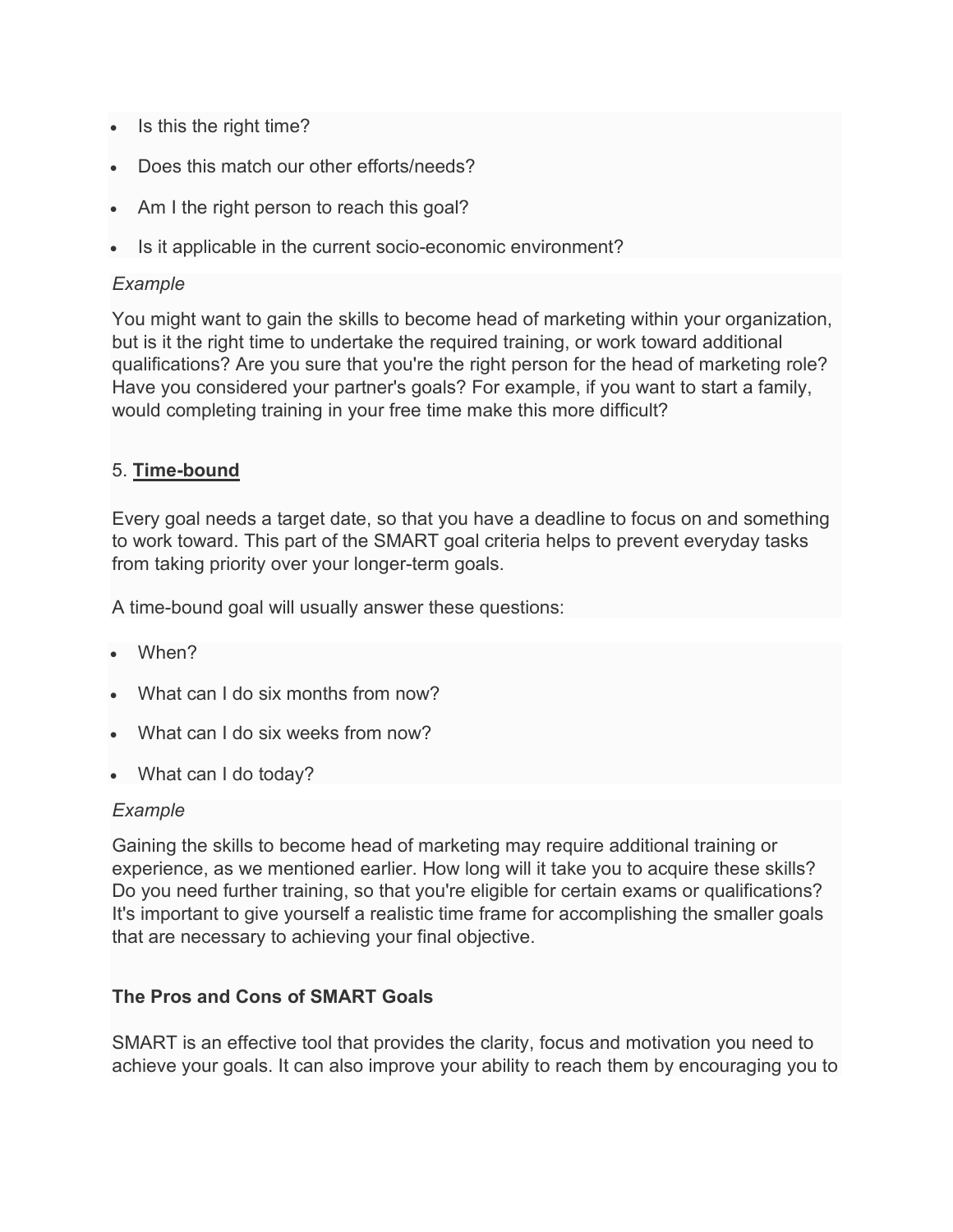- Is this the right time?
- Does this match our other efforts/needs?
- Am I the right person to reach this goal?
- Is it applicable in the current socio-economic environment?

### *Example*

You might want to gain the skills to become head of marketing within your organization, but is it the right time to undertake the required training, or work toward additional qualifications? Are you sure that you're the right person for the head of marketing role? Have you considered your partner's goals? For example, if you want to start a family, would completing training in your free time make this more difficult?

## 5. **Time-bound**

Every goal needs a target date, so that you have a deadline to focus on and something to work toward. This part of the SMART goal criteria helps to prevent everyday tasks from taking priority over your longer-term goals.

A time-bound goal will usually answer these questions:

- When?
- What can I do six months from now?
- What can I do six weeks from now?
- What can I do today?

### *Example*

Gaining the skills to become head of marketing may require additional training or experience, as we mentioned earlier. How long will it take you to acquire these skills? Do you need further training, so that you're eligible for certain exams or qualifications? It's important to give yourself a realistic time frame for accomplishing the smaller goals that are necessary to achieving your final objective.

# **The Pros and Cons of SMART Goals**

SMART is an effective tool that provides the clarity, focus and motivation you need to achieve your goals. It can also improve your ability to reach them by encouraging you to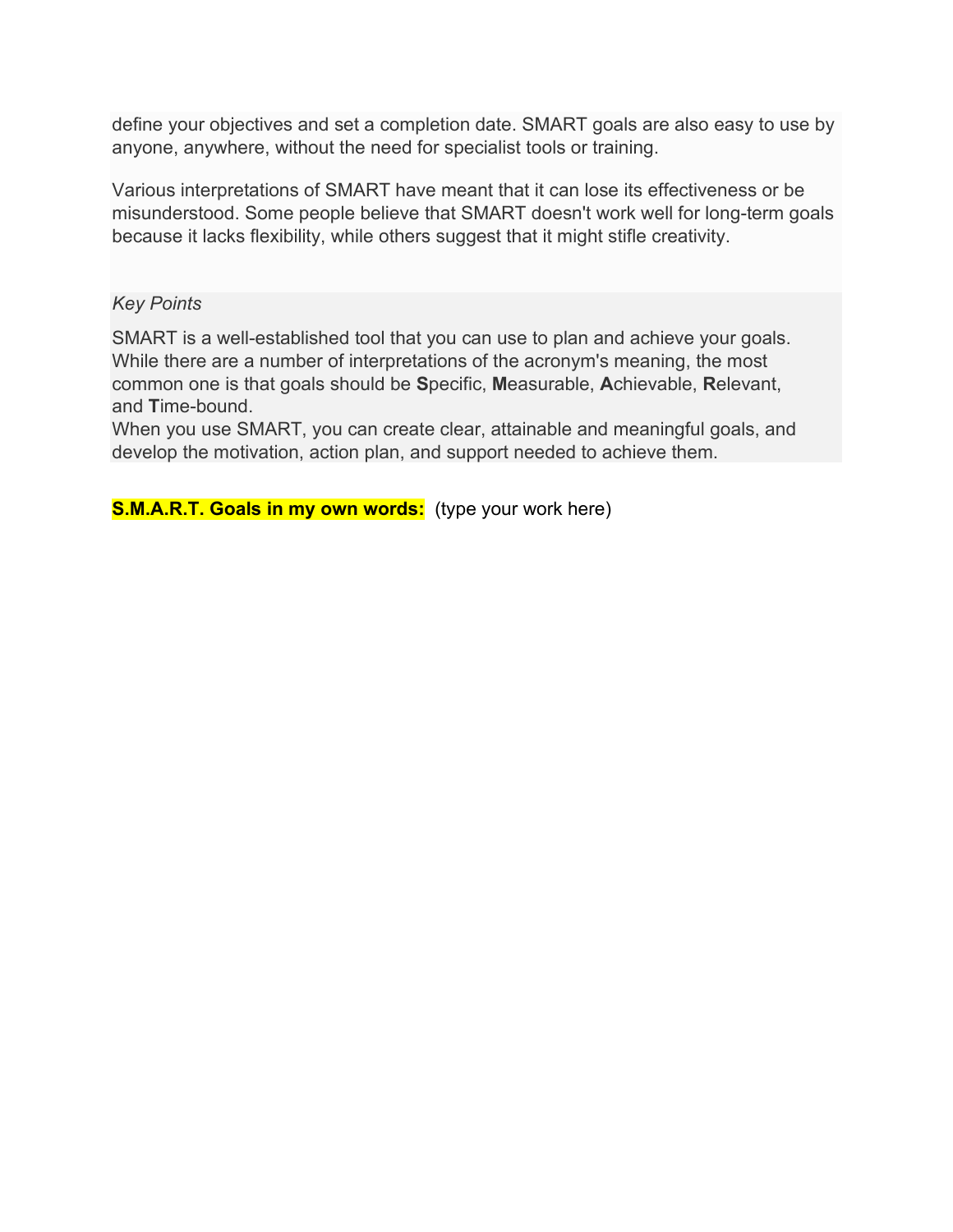define your objectives and set a completion date. SMART goals are also easy to use by anyone, anywhere, without the need for specialist tools or training.

Various interpretations of SMART have meant that it can lose its effectiveness or be misunderstood. Some people believe that SMART doesn't work well for long-term goals because it lacks flexibility, while others suggest that it might stifle creativity.

### *Key Points*

SMART is a well-established tool that you can use to plan and achieve your goals. While there are a number of interpretations of the acronym's meaning, the most common one is that goals should be **S**pecific, **M**easurable, **A**chievable, **R**elevant, and **T**ime-bound.

When you use SMART, you can create clear, attainable and meaningful goals, and develop the motivation, action plan, and support needed to achieve them.

**S.M.A.R.T. Goals in my own words:** (type your work here)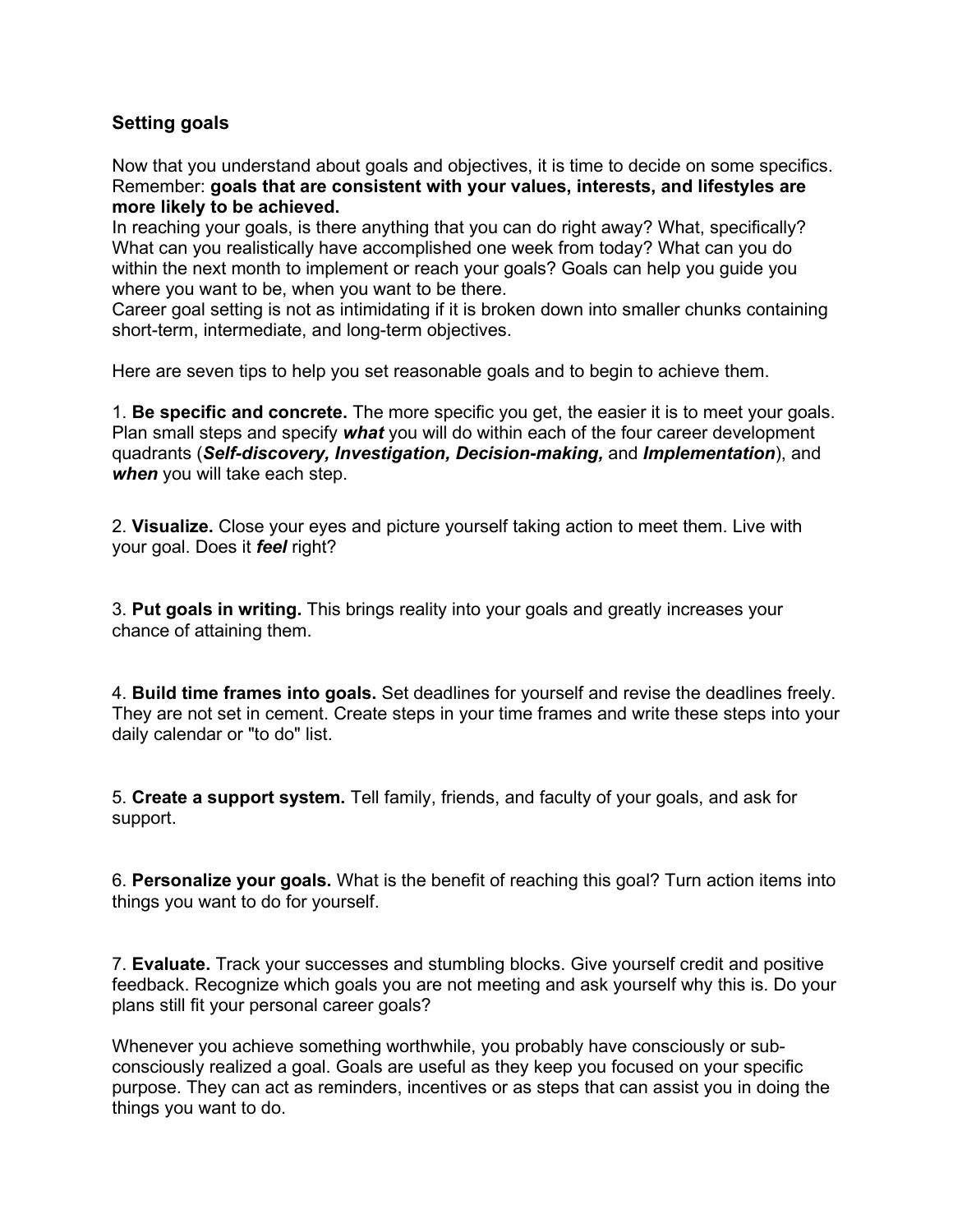## **Setting goals**

Now that you understand about goals and objectives, it is time to decide on some specifics. Remember: **goals that are consistent with your values, interests, and lifestyles are more likely to be achieved.** 

In reaching your goals, is there anything that you can do right away? What, specifically? What can you realistically have accomplished one week from today? What can you do within the next month to implement or reach your goals? Goals can help you guide you where you want to be, when you want to be there.

Career goal setting is not as intimidating if it is broken down into smaller chunks containing short-term, intermediate, and long-term objectives.

Here are seven tips to help you set reasonable goals and to begin to achieve them.

1. **Be specific and concrete.** The more specific you get, the easier it is to meet your goals. Plan small steps and specify *what* you will do within each of the four career development quadrants (*Self-discovery, Investigation, Decision-making,* and *Implementation*), and *when* you will take each step.

2. **Visualize.** Close your eyes and picture yourself taking action to meet them. Live with your goal. Does it *feel* right?

3. **Put goals in writing.** This brings reality into your goals and greatly increases your chance of attaining them.

4. **Build time frames into goals.** Set deadlines for yourself and revise the deadlines freely. They are not set in cement. Create steps in your time frames and write these steps into your daily calendar or "to do" list.

5. **Create a support system.** Tell family, friends, and faculty of your goals, and ask for support.

6. **Personalize your goals.** What is the benefit of reaching this goal? Turn action items into things you want to do for yourself.

7. **Evaluate.** Track your successes and stumbling blocks. Give yourself credit and positive feedback. Recognize which goals you are not meeting and ask yourself why this is. Do your plans still fit your personal career goals?

Whenever you achieve something worthwhile, you probably have consciously or subconsciously realized a goal. Goals are useful as they keep you focused on your specific purpose. They can act as reminders, incentives or as steps that can assist you in doing the things you want to do.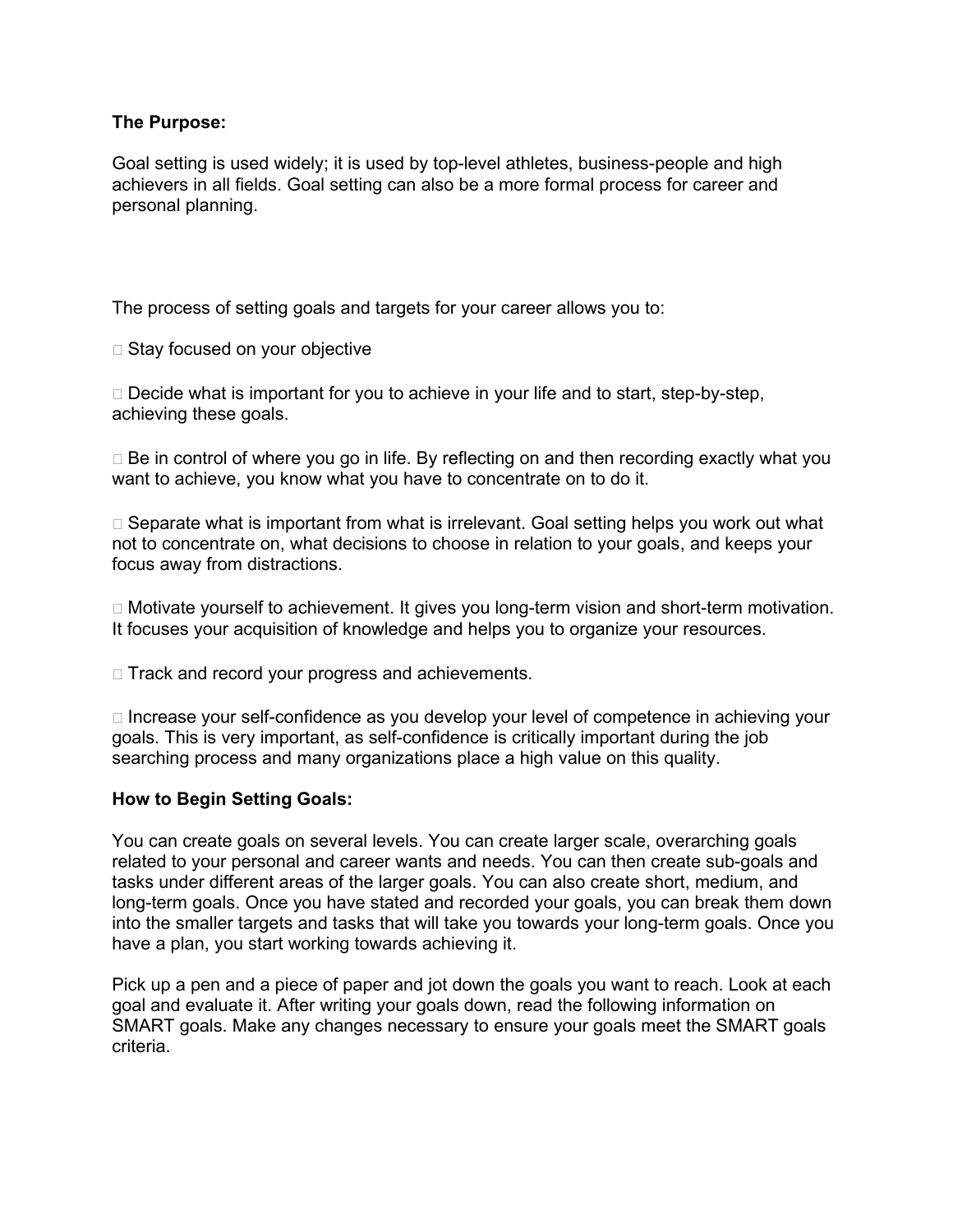#### **The Purpose:**

Goal setting is used widely; it is used by top-level athletes, business-people and high achievers in all fields. Goal setting can also be a more formal process for career and personal planning.

The process of setting goals and targets for your career allows you to:

 $\Box$  Stay focused on your objective

 $\Box$  Decide what is important for you to achieve in your life and to start, step-by-step, achieving these goals.

 $\Box$  Be in control of where you go in life. By reflecting on and then recording exactly what you want to achieve, you know what you have to concentrate on to do it.

 $\Box$  Separate what is important from what is irrelevant. Goal setting helps you work out what not to concentrate on, what decisions to choose in relation to your goals, and keeps your focus away from distractions.

□ Motivate yourself to achievement. It gives you long-term vision and short-term motivation. It focuses your acquisition of knowledge and helps you to organize your resources.

 $\Box$  Track and record your progress and achievements.

 $\Box$  Increase your self-confidence as you develop your level of competence in achieving your goals. This is very important, as self-confidence is critically important during the job searching process and many organizations place a high value on this quality.

### **How to Begin Setting Goals:**

You can create goals on several levels. You can create larger scale, overarching goals related to your personal and career wants and needs. You can then create sub-goals and tasks under different areas of the larger goals. You can also create short, medium, and long-term goals. Once you have stated and recorded your goals, you can break them down into the smaller targets and tasks that will take you towards your long-term goals. Once you have a plan, you start working towards achieving it.

Pick up a pen and a piece of paper and jot down the goals you want to reach. Look at each goal and evaluate it. After writing your goals down, read the following information on SMART goals. Make any changes necessary to ensure your goals meet the SMART goals criteria.